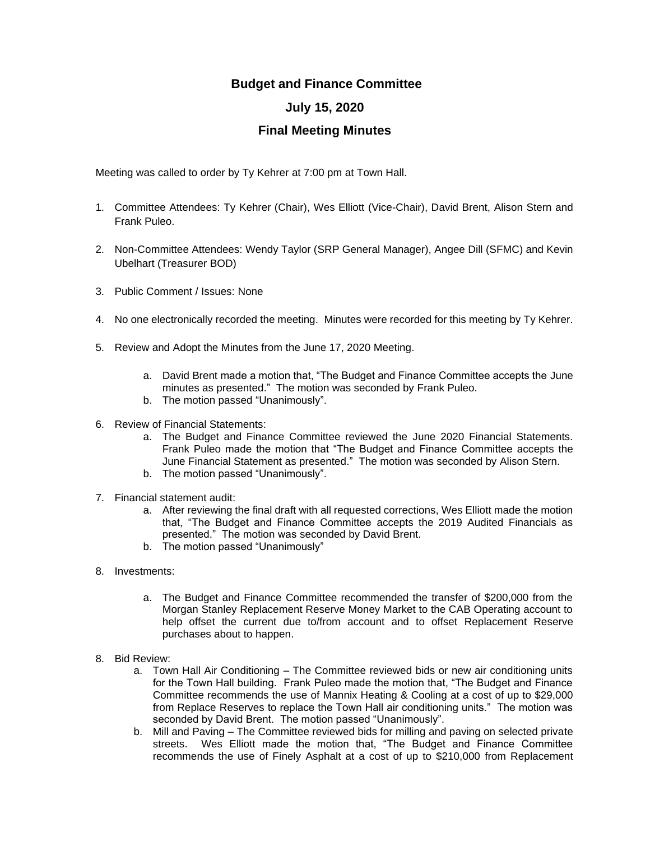## **Budget and Finance Committee**

## **July 15, 2020**

## **Final Meeting Minutes**

Meeting was called to order by Ty Kehrer at 7:00 pm at Town Hall.

- 1. Committee Attendees: Ty Kehrer (Chair), Wes Elliott (Vice-Chair), David Brent, Alison Stern and Frank Puleo.
- 2. Non-Committee Attendees: Wendy Taylor (SRP General Manager), Angee Dill (SFMC) and Kevin Ubelhart (Treasurer BOD)
- 3. Public Comment / Issues: None
- 4. No one electronically recorded the meeting. Minutes were recorded for this meeting by Ty Kehrer.
- 5. Review and Adopt the Minutes from the June 17, 2020 Meeting.
	- a. David Brent made a motion that, "The Budget and Finance Committee accepts the June minutes as presented." The motion was seconded by Frank Puleo.
	- b. The motion passed "Unanimously".
- 6. Review of Financial Statements:
	- a. The Budget and Finance Committee reviewed the June 2020 Financial Statements. Frank Puleo made the motion that "The Budget and Finance Committee accepts the June Financial Statement as presented." The motion was seconded by Alison Stern.
	- b. The motion passed "Unanimously".
- 7. Financial statement audit:
	- a. After reviewing the final draft with all requested corrections, Wes Elliott made the motion that, "The Budget and Finance Committee accepts the 2019 Audited Financials as presented." The motion was seconded by David Brent.
	- b. The motion passed "Unanimously"
- 8. Investments:
	- a. The Budget and Finance Committee recommended the transfer of \$200,000 from the Morgan Stanley Replacement Reserve Money Market to the CAB Operating account to help offset the current due to/from account and to offset Replacement Reserve purchases about to happen.
- 8. Bid Review:
	- a. Town Hall Air Conditioning The Committee reviewed bids or new air conditioning units for the Town Hall building. Frank Puleo made the motion that, "The Budget and Finance Committee recommends the use of Mannix Heating & Cooling at a cost of up to \$29,000 from Replace Reserves to replace the Town Hall air conditioning units." The motion was seconded by David Brent. The motion passed "Unanimously".
	- b. Mill and Paving The Committee reviewed bids for milling and paving on selected private streets. Wes Elliott made the motion that, "The Budget and Finance Committee recommends the use of Finely Asphalt at a cost of up to \$210,000 from Replacement